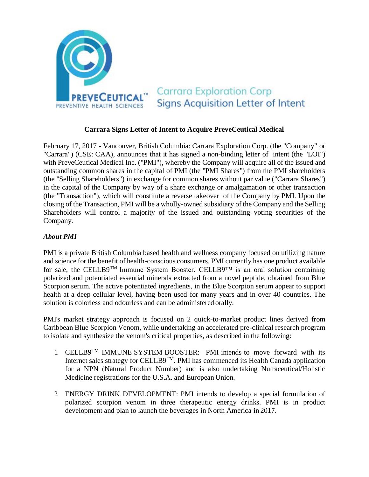

## **Carrara Signs Letter of Intent to Acquire PreveCeutical Medical**

February 17, 2017 - Vancouver, British Columbia: Carrara Exploration Corp. (the "Company" or "Carrara") (CSE: CAA), announces that it has signed a non-binding letter of intent (the "LOI") with PreveCeutical Medical Inc. ("PMI"), whereby the Company will acquire all of the issued and outstanding common shares in the capital of PMI (the "PMI Shares") from the PMI shareholders (the "Selling Shareholders") in exchange for common shares without par value ("Carrara Shares") in the capital of the Company by way of a share exchange or amalgamation or other transaction (the "Transaction"), which will constitute a reverse takeover of the Company by PMI. Upon the closing of the Transaction, PMI will be a wholly-owned subsidiary of the Company and the Selling Shareholders will control a majority of the issued and outstanding voting securities of the Company.

## *About PMI*

PMI is a private British Columbia based health and wellness company focused on utilizing nature and science for the benefit of health-conscious consumers. PMI currently has one product available for sale, the CELLB9TM Immune System Booster. CELLB9™ is an oral solution containing polarized and potentiated essential minerals extracted from a novel peptide, obtained from Blue Scorpion serum. The active potentiated ingredients, in the Blue Scorpion serum appear to support health at a deep cellular level, having been used for many years and in over 40 countries. The solution is colorless and odourless and can be administered orally.

PMI's market strategy approach is focused on 2 quick-to-market product lines derived from Caribbean Blue Scorpion Venom, while undertaking an accelerated pre-clinical research program to isolate and synthesize the venom's critical properties, as described in the following:

- 1. CELLB9<sup>TM</sup> IMMUNE SYSTEM BOOSTER: PMI intends to move forward with its Internet sales strategy for CELLB9<sup>TM</sup>. PMI has commenced its Health Canada application for a NPN (Natural Product Number) and is also undertaking Nutraceutical/Holistic Medicine registrations for the U.S.A. and European Union.
- 2. ENERGY DRINK DEVELOPMENT: PMI intends to develop a special formulation of polarized scorpion venom in three therapeutic energy drinks. PMI is in product development and plan to launch the beverages in North America in 2017.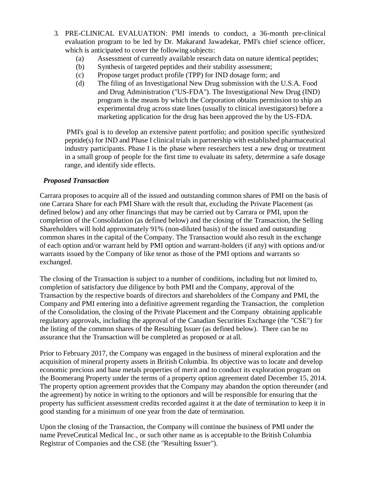- 3. PRE-CLINICAL EVALUATION: PMI intends to conduct, a 36-month pre-clinical evaluation program to be led by Dr. Makarand Jawadekar, PMI's chief science officer, which is anticipated to cover the following subjects:
	- (a) Assessment of currently available research data on nature identical peptides;
	- (b) Synthesis of targeted peptides and their stability assessment;
	- (c) Propose target product profile (TPP) for IND dosage form; and
	- (d) The filing of an Investigational New Drug submission with the U.S.A. Food and Drug Administration ("US-FDA"). The Investigational New Drug (IND) program is the means by which the Corporation obtains permission to ship an experimental drug across state lines (usually to clinical investigators) before a marketing application for the drug has been approved the by the US-FDA.

PMI's goal is to develop an extensive patent portfolio; and position specific synthesized peptide(s) for IND and Phase I clinical trials in partnership with established pharmaceutical industry participants. Phase I is the phase where researchers test a new drug or treatment in a small group of people for the first time to evaluate its safety, determine a safe dosage range, and identify side effects.

# *Proposed Transaction*

Carrara proposes to acquire all of the issued and outstanding common shares of PMI on the basis of one Carrara Share for each PMI Share with the result that, excluding the Private Placement (as defined below) and any other financings that may be carried out by Carrara or PMI, upon the completion of the Consolidation (as defined below) and the closing of the Transaction, the Selling Shareholders will hold approximately 91% (non-diluted basis) of the issued and outstanding common shares in the capital of the Company. The Transaction would also result in the exchange of each option and/or warrant held by PMI option and warrant-holders (if any) with options and/or warrants issued by the Company of like tenor as those of the PMI options and warrants so exchanged.

The closing of the Transaction is subject to a number of conditions, including but not limited to, completion of satisfactory due diligence by both PMI and the Company, approval of the Transaction by the respective boards of directors and shareholders of the Company and PMI, the Company and PMI entering into a definitive agreement regarding the Transaction, the completion of the Consolidation, the closing of the Private Placement and the Company obtaining applicable regulatory approvals, including the approval of the Canadian Securities Exchange (the "CSE") for the listing of the common shares of the Resulting Issuer (as defined below). There can be no assurance that the Transaction will be completed as proposed or at all.

Prior to February 2017, the Company was engaged in the business of mineral exploration and the acquisition of mineral property assets in British Columbia. Its objective was to locate and develop economic precious and base metals properties of merit and to conduct its exploration program on the Boomerang Property under the terms of a property option agreement dated December 15, 2014. The property option agreement provides that the Company may abandon the option thereunder (and the agreement) by notice in writing to the optionors and will be responsible for ensuring that the property has sufficient assessment credits recorded against it at the date of termination to keep it in good standing for a minimum of one year from the date of termination.

Upon the closing of the Transaction, the Company will continue the business of PMI under the name PreveCeutical Medical Inc., or such other name as is acceptable to the British Columbia Registrar of Companies and the CSE (the "Resulting Issuer").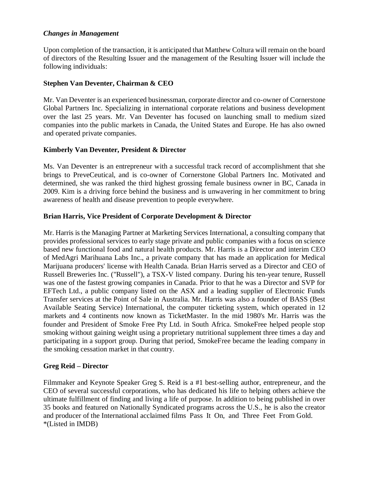### *Changes in Management*

Upon completion of the transaction, it is anticipated that Matthew Coltura will remain on the board of directors of the Resulting Issuer and the management of the Resulting Issuer will include the following individuals:

## **Stephen Van Deventer, Chairman & CEO**

Mr. Van Deventer is an experienced businessman, corporate director and co-owner of Cornerstone Global Partners Inc. Specializing in international corporate relations and business development over the last 25 years. Mr. Van Deventer has focused on launching small to medium sized companies into the public markets in Canada, the United States and Europe. He has also owned and operated private companies.

### **Kimberly Van Deventer, President & Director**

Ms. Van Deventer is an entrepreneur with a successful track record of accomplishment that she brings to PreveCeutical, and is co-owner of Cornerstone Global Partners Inc. Motivated and determined, she was ranked the third highest grossing female business owner in BC, Canada in 2009. Kim is a driving force behind the business and is unwavering in her commitment to bring awareness of health and disease prevention to people everywhere.

### **Brian Harris, Vice President of Corporate Development & Director**

Mr. Harris is the Managing Partner at Marketing Services International, a consulting company that provides professional services to early stage private and public companies with a focus on science based new functional food and natural health products. Mr. Harris is a Director and interim CEO of MedAgri Marihuana Labs Inc., a private company that has made an application for Medical Marijuana producers' license with Health Canada. Brian Harris served as a Director and CEO of Russell Breweries Inc. ("Russell"), a TSX-V listed company. During his ten-year tenure, Russell was one of the fastest growing companies in Canada. Prior to that he was a Director and SVP for EFTech Ltd., a public company listed on the ASX and a leading supplier of Electronic Funds Transfer services at the Point of Sale in Australia. Mr. Harris was also a founder of BASS (Best Available Seating Service) International, the computer ticketing system, which operated in 12 markets and 4 continents now known as TicketMaster. In the mid 1980's Mr. Harris was the founder and President of Smoke Free Pty Ltd. in South Africa. SmokeFree helped people stop smoking without gaining weight using a proprietary nutritional supplement three times a day and participating in a support group. During that period, SmokeFree became the leading company in the smoking cessation market in that country.

#### **Greg Reid – Director**

Filmmaker and Keynote Speaker Greg S. Reid is a #1 best-selling author, entrepreneur, and the CEO of several successful corporations, who has dedicated his life to helping others achieve the ultimate fulfillment of finding and living a life of purpose. In addition to being published in over 35 books and featured on Nationally Syndicated programs across the U.S., he is also the creator and producer of the International acclaimed films Pass It On, and Three Feet From Gold. \*(Listed in IMDB)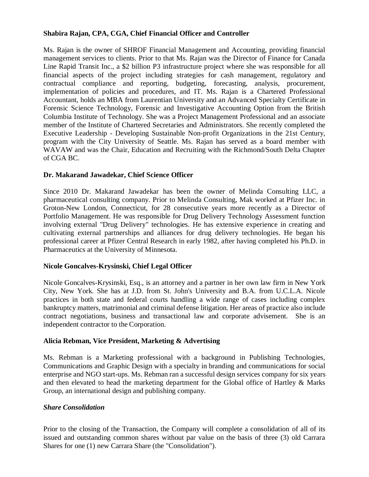## **Shabira Rajan, CPA, CGA, Chief Financial Officer and Controller**

Ms. Rajan is the owner of SHROF Financial Management and Accounting, providing financial management services to clients. Prior to that Ms. Rajan was the Director of Finance for Canada Line Rapid Transit Inc., a \$2 billion P3 infrastructure project where she was responsible for all financial aspects of the project including strategies for cash management, regulatory and contractual compliance and reporting, budgeting, forecasting, analysis, procurement, implementation of policies and procedures, and IT. Ms. Rajan is a Chartered Professional Accountant, holds an MBA from Laurentian University and an Advanced Specialty Certificate in Forensic Science Technology, Forensic and Investigative Accounting Option from the British Columbia Institute of Technology. She was a Project Management Professional and an associate member of the Institute of Chartered Secretaries and Administrators. She recently completed the Executive Leadership - Developing Sustainable Non-profit Organizations in the 21st Century, program with the City University of Seattle. Ms. Rajan has served as a board member with WAVAW and was the Chair, Education and Recruiting with the Richmond/South Delta Chapter of CGA BC.

## **Dr. Makarand Jawadekar, Chief Science Officer**

Since 2010 Dr. Makarand Jawadekar has been the owner of Melinda Consulting LLC, a pharmaceutical consulting company. Prior to Melinda Consulting, Mak worked at Pfizer Inc. in Groton-New London, Connecticut, for 28 consecutive years more recently as a Director of Portfolio Management. He was responsible for Drug Delivery Technology Assessment function involving external "Drug Delivery" technologies. He has extensive experience in creating and cultivating external partnerships and alliances for drug delivery technologies. He began his professional career at Pfizer Central Research in early 1982, after having completed his Ph.D. in Pharmaceutics at the University of Minnesota.

## **Nicole Goncalves-Krysinski, Chief Legal Officer**

Nicole Goncalves-Krysinski, Esq., is an attorney and a partner in her own law firm in New York City, New York. She has at J.D. from St. John's University and B.A. from U.C.L.A. Nicole practices in both state and federal courts handling a wide range of cases including complex bankruptcy matters, matrimonial and criminal defense litigation. Her areas of practice also include contract negotiations, business and transactional law and corporate advisement. She is an independent contractor to the Corporation.

## **Alicia Rebman, Vice President, Marketing & Advertising**

Ms. Rebman is a Marketing professional with a background in Publishing Technologies, Communications and Graphic Design with a specialty in branding and communications for social enterprise and NGO start-ups. Ms. Rebman ran a successful design services company for six years and then elevated to head the marketing department for the Global office of Hartley & Marks Group, an international design and publishing company.

## *Share Consolidation*

Prior to the closing of the Transaction, the Company will complete a consolidation of all of its issued and outstanding common shares without par value on the basis of three (3) old Carrara Shares for one (1) new Carrara Share (the "Consolidation").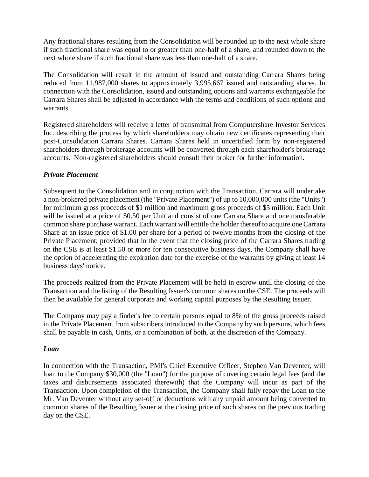Any fractional shares resulting from the Consolidation will be rounded up to the next whole share if such fractional share was equal to or greater than one-half of a share, and rounded down to the next whole share if such fractional share was less than one-half of a share.

The Consolidation will result in the amount of issued and outstanding Carrara Shares being reduced from 11,987,000 shares to approximately 3,995,667 issued and outstanding shares. In connection with the Consolidation, issued and outstanding options and warrants exchangeable for Carrara Shares shall be adjusted in accordance with the terms and conditions of such options and warrants.

Registered shareholders will receive a letter of transmittal from Computershare Investor Services Inc. describing the process by which shareholders may obtain new certificates representing their post-Consolidation Carrara Shares. Carrara Shares held in uncertified form by non-registered shareholders through brokerage accounts will be converted through each shareholder's brokerage accounts. Non-registered shareholders should consult their broker for further information.

### *Private Placement*

Subsequent to the Consolidation and in conjunction with the Transaction, Carrara will undertake a non-brokered private placement (the "Private Placement") of up to 10,000,000 units (the "Units") for minimum gross proceeds of \$1 million and maximum gross proceeds of \$5 million. Each Unit will be issued at a price of \$0.50 per Unit and consist of one Carrara Share and one transferable common share purchase warrant. Each warrant will entitle the holder thereof to acquire one Carrara Share at an issue price of \$1.00 per share for a period of twelve months from the closing of the Private Placement; provided that in the event that the closing price of the Carrara Shares trading on the CSE is at least \$1.50 or more for ten consecutive business days, the Company shall have the option of accelerating the expiration date for the exercise of the warrants by giving at least 14 business days' notice.

The proceeds realized from the Private Placement will be held in escrow until the closing of the Transaction and the listing of the Resulting Issuer's common shares on the CSE. The proceeds will then be available for general corporate and working capital purposes by the Resulting Issuer.

The Company may pay a finder's fee to certain persons equal to 8% of the gross proceeds raised in the Private Placement from subscribers introduced to the Company by such persons, which fees shall be payable in cash, Units, or a combination of both, at the discretion of the Company.

#### *Loan*

In connection with the Transaction, PMI's Chief Executive Officer, Stephen Van Deventer, will loan to the Company \$30,000 (the "Loan") for the purpose of covering certain legal fees (and the taxes and disbursements associated therewith) that the Company will incur as part of the Transaction. Upon completion of the Transaction, the Company shall fully repay the Loan to the Mr. Van Deventer without any set-off or deductions with any unpaid amount being converted to common shares of the Resulting Issuer at the closing price of such shares on the previous trading day on the CSE.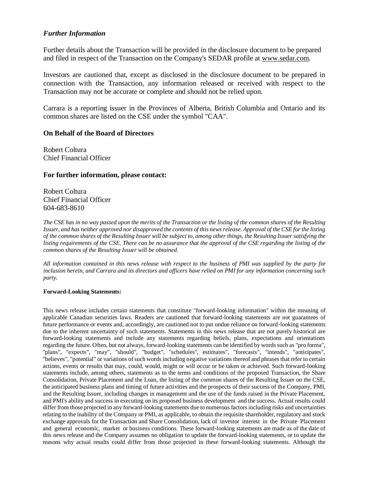#### *Further Information*

Further details about the Transaction will be provided in the disclosure document to be prepared and filed in respect of the Transaction on the Company's SEDAR profile at [www.sedar.com.](http://www.sedar.com/)

Investors are cautioned that, except as disclosed in the disclosure document to be prepared in connection with the Transaction, any information released or received with respect to the Transaction may not be accurate or complete and should not be relied upon.

Carrara is a reporting issuer in the Provinces of Alberta, British Columbia and Ontario and its common shares are listed on the CSE under the symbol "CAA".

#### **On Behalf of the Board of Directors**

Robert Coltura Chief Financial Officer

#### **For further information, please contact:**

Robert Coltura Chief Financial Officer 604-683-8610

*The CSE has in no way passed upon the merits of the Transaction or the listing of the common shares of the Resulting Issuer, and has neither approved nor disapproved the contents of this news release. Approval of the CSE for the listing of the common shares of the Resulting Issuer will be subject to, among other things, the Resulting Issuer satisfying the listing requirements of the CSE. There can be no assurance that the approval of the CSE regarding the listing of the common shares of the Resulting Issuer will be obtained.*

*All information contained in this news release with respect to the business of PMI was supplied by the party for inclusion herein, and Carrara and its directors and officers have relied on PMI for any information concerning such party.*

#### **Forward-Looking Statements:**

This news release includes certain statements that constitute "forward-looking information" within the meaning of applicable Canadian securities laws. Readers are cautioned that forward-looking statements are not guarantees of future performance or events and, accordingly, are cautioned not to put undue reliance on forward-looking statements due to the inherent uncertainty of such statements. Statements in this news release that are not purely historical are forward-looking statements and include any statements regarding beliefs, plans, expectations and orientations regarding the future. Often, but not always, forward-looking statements can be identified by words such as "pro forma", "plans", "expects", "may", "should", "budget", "schedules", estimates", "forecasts", "intends", "anticipates", "believes", "potential" or variations of such words including negative variations thereof and phrases that refer to certain actions, events or results that may, could, would, might or will occur or be taken or achieved. Such forward-looking statements include, among others, statements as to the terms and conditions of the proposed Transaction, the Share Consolidation, Private Placement and the Loan, the listing of the common shares of the Resulting Issuer on the CSE, the anticipated business plans and timing of future activities and the prospects of their success of the Company, PMI, and the Resulting Issuer, including changes in management and the use of the funds raised in the Private Placement, and PMI's ability and success in executing on its proposed business development and the success. Actual results could differ from those projected in any forward-looking statements due to numerous factors including risks and uncertainties relating to the inability of the Company or PMI, as applicable, to obtain the requisite shareholder, regulatory and stock exchange approvals for the Transaction and Share Consolidation, lack of investor interest in the Private Placement and general economic, market or business conditions. These forward-looking statements are made as of the date of this news release and the Company assumes no obligation to update the forward-looking statements, or to update the reasons why actual results could differ from those projected in these forward-looking statements. Although the